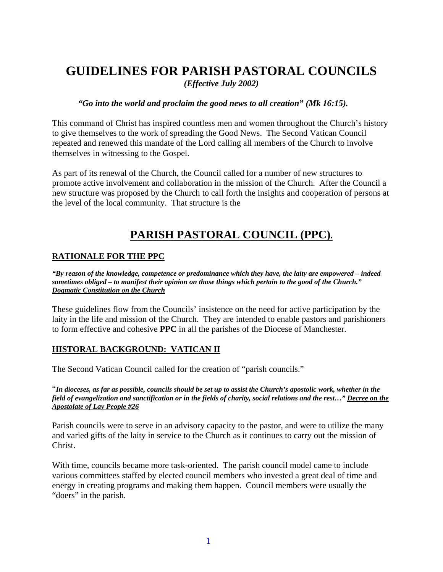# **GUIDELINES FOR PARISH PASTORAL COUNCILS**

*(Effective July 2002)* 

#### *"Go into the world and proclaim the good news to all creation" (Mk 16:15).*

This command of Christ has inspired countless men and women throughout the Church's history to give themselves to the work of spreading the Good News. The Second Vatican Council repeated and renewed this mandate of the Lord calling all members of the Church to involve themselves in witnessing to the Gospel.

As part of its renewal of the Church, the Council called for a number of new structures to promote active involvement and collaboration in the mission of the Church. After the Council a new structure was proposed by the Church to call forth the insights and cooperation of persons at the level of the local community. That structure is the

# **PARISH PASTORAL COUNCIL (PPC).**

## **RATIONALE FOR THE PPC**

*"By reason of the knowledge, competence or predominance which they have, the laity are empowered – indeed sometimes obliged – to manifest their opinion on those things which pertain to the good of the Church." Dogmatic Constitution on the Church*

These guidelines flow from the Councils' insistence on the need for active participation by the laity in the life and mission of the Church. They are intended to enable pastors and parishioners to form effective and cohesive **PPC** in all the parishes of the Diocese of Manchester.

### **HISTORAL BACKGROUND: VATICAN II**

The Second Vatican Council called for the creation of "parish councils."

"*In dioceses, as far as possible, councils should be set up to assist the Church's apostolic work, whether in the field of evangelization and sanctification or in the fields of charity, social relations and the rest…" Decree on the Apostolate of Lay People #26*

Parish councils were to serve in an advisory capacity to the pastor, and were to utilize the many and varied gifts of the laity in service to the Church as it continues to carry out the mission of Christ.

With time, councils became more task-oriented. The parish council model came to include various committees staffed by elected council members who invested a great deal of time and energy in creating programs and making them happen. Council members were usually the "doers" in the parish.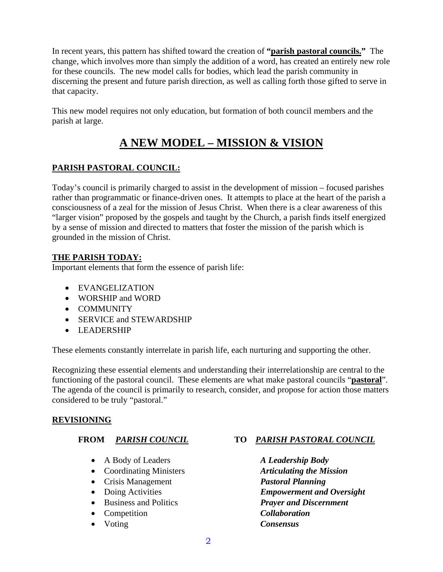In recent years, this pattern has shifted toward the creation of **"parish pastoral councils."** The change, which involves more than simply the addition of a word, has created an entirely new role for these councils. The new model calls for bodies, which lead the parish community in discerning the present and future parish direction, as well as calling forth those gifted to serve in that capacity.

This new model requires not only education, but formation of both council members and the parish at large.

# **A NEW MODEL – MISSION & VISION**

# **PARISH PASTORAL COUNCIL:**

Today's council is primarily charged to assist in the development of mission – focused parishes rather than programmatic or finance-driven ones. It attempts to place at the heart of the parish a consciousness of a zeal for the mission of Jesus Christ. When there is a clear awareness of this "larger vision" proposed by the gospels and taught by the Church, a parish finds itself energized by a sense of mission and directed to matters that foster the mission of the parish which is grounded in the mission of Christ.

# **THE PARISH TODAY:**

Important elements that form the essence of parish life:

- EVANGELIZATION
- WORSHIP and WORD
- COMMUNITY
- SERVICE and STEWARDSHIP
- LEADERSHIP

These elements constantly interrelate in parish life, each nurturing and supporting the other.

Recognizing these essential elements and understanding their interrelationship are central to the functioning of the pastoral council. These elements are what make pastoral councils "**pastoral**". The agenda of the council is primarily to research, consider, and propose for action those matters considered to be truly "pastoral."

# **REVISIONING**

- A Body of Leaders *A Leadership Body*
- Coordinating Ministers *Articulating the Mission*
- Crisis Management *Pastoral Planning*
- 
- 
- Competition *Collaboration*
- Voting *Consensus*

# **FROM** *PARISH COUNCIL* **TO** *PARISH PASTORAL COUNCIL*

• Doing Activities *Empowerment and Oversight* • Business and Politics *Prayer and Discernment*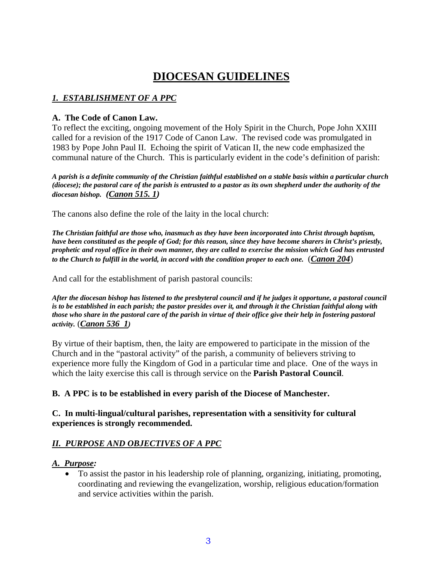# **DIOCESAN GUIDELINES**

# *1. ESTABLISHMENT OF A PPC*

## **A. The Code of Canon Law.**

To reflect the exciting, ongoing movement of the Holy Spirit in the Church, Pope John XXIII called for a revision of the 1917 Code of Canon Law. The revised code was promulgated in 1983 by Pope John Paul II. Echoing the spirit of Vatican II, the new code emphasized the communal nature of the Church. This is particularly evident in the code's definition of parish:

*A parish is a definite community of the Christian faithful established on a stable basis within a particular church (diocese); the pastoral care of the parish is entrusted to a pastor as its own shepherd under the authority of the diocesan bishop. (Canon 515. 1)* 

The canons also define the role of the laity in the local church:

*The Christian faithful are those who, inasmuch as they have been incorporated into Christ through baptism, have been constituted as the people of God; for this reason, since they have become sharers in Christ's priestly, prophetic and royal office in their own manner, they are called to exercise the mission which God has entrusted to the Church to fulfill in the world, in accord with the condition proper to each one.* (*Canon 204*)

And call for the establishment of parish pastoral councils:

*After the diocesan bishop has listened to the presbyteral council and if he judges it opportune, a pastoral council is to be established in each parish; the pastor presides over it, and through it the Christian faithful along with those who share in the pastoral care of the parish in virtue of their office give their help in fostering pastoral activity.* (*Canon 536 1)*

By virtue of their baptism, then, the laity are empowered to participate in the mission of the Church and in the "pastoral activity" of the parish, a community of believers striving to experience more fully the Kingdom of God in a particular time and place. One of the ways in which the laity exercise this call is through service on the **Parish Pastoral Council**.

**B. A PPC is to be established in every parish of the Diocese of Manchester.** 

### **C. In multi-lingual/cultural parishes, representation with a sensitivity for cultural experiences is strongly recommended.**

# *II. PURPOSE AND OBJECTIVES OF A PPC*

### *A. Purpose:*

• To assist the pastor in his leadership role of planning, organizing, initiating, promoting, coordinating and reviewing the evangelization, worship, religious education/formation and service activities within the parish.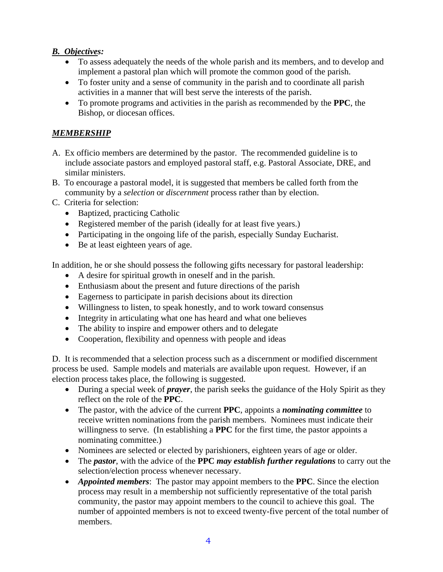# *B. Objectives:*

- To assess adequately the needs of the whole parish and its members, and to develop and implement a pastoral plan which will promote the common good of the parish.
- To foster unity and a sense of community in the parish and to coordinate all parish activities in a manner that will best serve the interests of the parish.
- To promote programs and activities in the parish as recommended by the **PPC**, the Bishop, or diocesan offices.

# *MEMBERSHIP*

- A. Ex officio members are determined by the pastor. The recommended guideline is to include associate pastors and employed pastoral staff, e.g. Pastoral Associate, DRE, and similar ministers.
- B. To encourage a pastoral model, it is suggested that members be called forth from the community by a *selection* or *discernment* process rather than by election.
- C. Criteria for selection:
	- Baptized, practicing Catholic
	- Registered member of the parish (ideally for at least five years.)
	- Participating in the ongoing life of the parish, especially Sunday Eucharist.
	- Be at least eighteen years of age.

In addition, he or she should possess the following gifts necessary for pastoral leadership:

- A desire for spiritual growth in oneself and in the parish.
- Enthusiasm about the present and future directions of the parish
- Eagerness to participate in parish decisions about its direction
- Willingness to listen, to speak honestly, and to work toward consensus
- Integrity in articulating what one has heard and what one believes
- The ability to inspire and empower others and to delegate
- Cooperation, flexibility and openness with people and ideas

D. It is recommended that a selection process such as a discernment or modified discernment process be used. Sample models and materials are available upon request. However, if an election process takes place, the following is suggested.

- During a special week of *prayer*, the parish seeks the guidance of the Holy Spirit as they reflect on the role of the **PPC**.
- The pastor, with the advice of the current **PPC**, appoints a *nominating committee* to receive written nominations from the parish members. Nominees must indicate their willingness to serve. (In establishing a **PPC** for the first time, the pastor appoints a nominating committee.)
- Nominees are selected or elected by parishioners, eighteen years of age or older.
- The *pastor*, with the advice of the **PPC** *may establish further regulations* to carry out the selection/election process whenever necessary.
- *Appointed members*: The pastor may appoint members to the **PPC**. Since the election process may result in a membership not sufficiently representative of the total parish community, the pastor may appoint members to the council to achieve this goal. The number of appointed members is not to exceed twenty-five percent of the total number of members.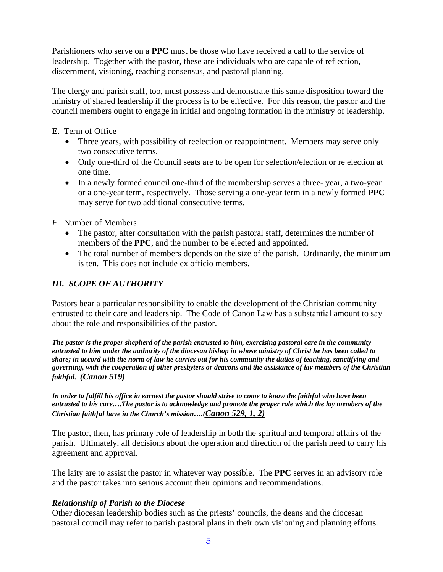Parishioners who serve on a **PPC** must be those who have received a call to the service of leadership. Together with the pastor, these are individuals who are capable of reflection, discernment, visioning, reaching consensus, and pastoral planning.

The clergy and parish staff, too, must possess and demonstrate this same disposition toward the ministry of shared leadership if the process is to be effective. For this reason, the pastor and the council members ought to engage in initial and ongoing formation in the ministry of leadership.

- E. Term of Office
	- Three years, with possibility of reelection or reappointment. Members may serve only two consecutive terms.
	- Only one-third of the Council seats are to be open for selection/election or re election at one time.
	- In a newly formed council one-third of the membership serves a three- year, a two-year or a one-year term, respectively. Those serving a one-year term in a newly formed **PPC**  may serve for two additional consecutive terms.

*F.* Number of Members

- The pastor, after consultation with the parish pastoral staff, determines the number of members of the **PPC**, and the number to be elected and appointed.
- The total number of members depends on the size of the parish. Ordinarily, the minimum is ten. This does not include ex officio members.

# *III. SCOPE OF AUTHORITY*

Pastors bear a particular responsibility to enable the development of the Christian community entrusted to their care and leadership. The Code of Canon Law has a substantial amount to say about the role and responsibilities of the pastor.

*The pastor is the proper shepherd of the parish entrusted to him, exercising pastoral care in the community entrusted to him under the authority of the diocesan bishop in whose ministry of Christ he has been called to share; in accord with the norm of law he carries out for his community the duties of teaching, sanctifying and governing, with the cooperation of other presbyters or deacons and the assistance of lay members of the Christian faithful. (Canon 519)*

*In order to fulfill his office in earnest the pastor should strive to come to know the faithful who have been entrusted to his care….The pastor is to acknowledge and promote the proper role which the lay members of the Christian faithful have in the Church's mission….(Canon 529, 1, 2)*

The pastor, then, has primary role of leadership in both the spiritual and temporal affairs of the parish. Ultimately, all decisions about the operation and direction of the parish need to carry his agreement and approval.

The laity are to assist the pastor in whatever way possible. The **PPC** serves in an advisory role and the pastor takes into serious account their opinions and recommendations.

# *Relationship of Parish to the Diocese*

Other diocesan leadership bodies such as the priests' councils, the deans and the diocesan pastoral council may refer to parish pastoral plans in their own visioning and planning efforts.